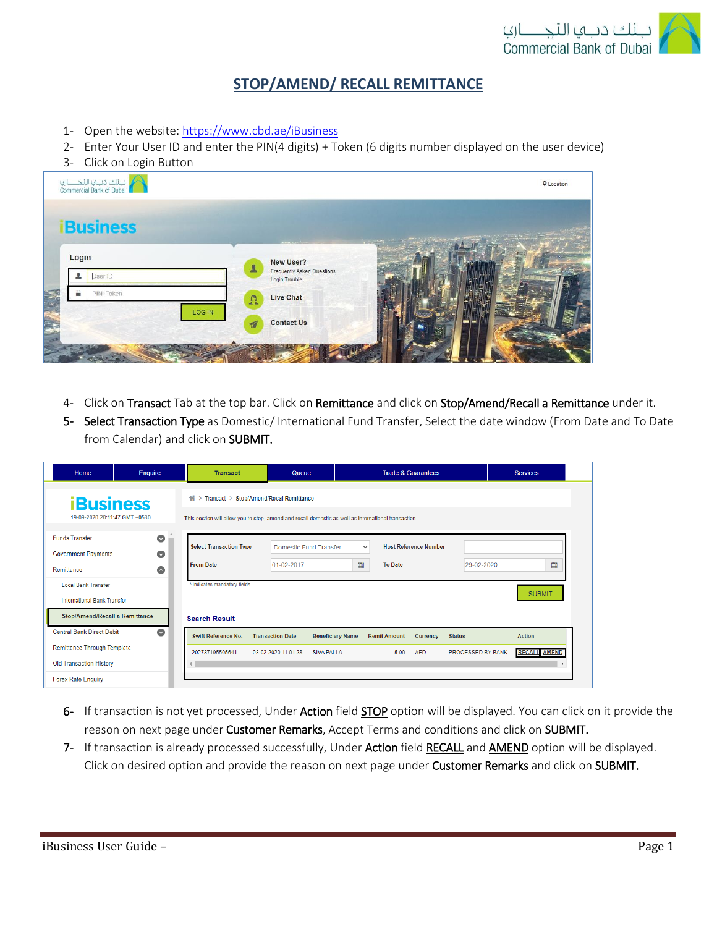

## **STOP/AMEND/ RECALL REMITTANCE**

- 1- Open the website:<https://www.cbd.ae/iBusiness>
- 2- Enter Your User ID and enter the PIN(4 digits) + Token (6 digits number displayed on the user device)
- 3- Click on Login Button



- 4- Click on Transact Tab at the top bar. Click on Remittance and click on Stop/Amend/Recall a Remittance under it.
- 5- Select Transaction Type as Domestic/ International Fund Transfer, Select the date window (From Date and To Date from Calendar) and click on SUBMIT.

| Home                                              | Enquire   | <b>Transact</b>                                                                                      | Queue                   |                             |                     | <b>Trade &amp; Guarantees</b> |                   | <b>Services</b>     |
|---------------------------------------------------|-----------|------------------------------------------------------------------------------------------------------|-------------------------|-----------------------------|---------------------|-------------------------------|-------------------|---------------------|
| <b>iBusiness</b><br>19-09-2020 20:11:47 GMT +0530 |           | 습<br>Transact ><br><b>Stop/Amend/Recal Remittance</b><br>$\rightarrow$                               |                         |                             |                     |                               |                   |                     |
|                                                   |           | This section will allow you to stop, amend and recall domestic as well as international transaction. |                         |                             |                     |                               |                   |                     |
| <b>Funds Transfer</b>                             | $\bullet$ | <b>Select Transaction Type</b>                                                                       |                         |                             | $\checkmark$        | <b>Host Reference Number</b>  |                   |                     |
| <b>Government Payments</b>                        | $\bullet$ | <b>From Date</b>                                                                                     | $01-02-2017$            | Domestic Fund Transfer<br>雦 | <b>To Date</b>      |                               | 29-02-2020        | 雦                   |
| Remittance<br><b>Local Bank Transfer</b>          | $\bullet$ | * indicates mandatory fields.                                                                        |                         |                             |                     |                               |                   |                     |
| <b>International Bank Transfer</b>                |           |                                                                                                      |                         |                             |                     |                               |                   | <b>SUBMIT</b>       |
| <b>Stop/Amend/Recall a Remittance</b>             |           | <b>Search Result</b>                                                                                 |                         |                             |                     |                               |                   |                     |
| <b>Central Bank Direct Debit</b>                  | $\bullet$ | <b>Swift Reference No.</b>                                                                           | <b>Transaction Date</b> | <b>Beneficiary Name</b>     | <b>Remit Amount</b> | Currency                      | <b>Status</b>     | <b>Action</b>       |
| <b>Remittance Through Template</b>                |           | 202737195505641                                                                                      | 08-02-2020 11:01:38     | <b>SIVA PALLA</b>           | 5.00                | <b>AED</b>                    | PROCESSED BY BANK | <b>RECALL AMEND</b> |
| <b>Old Transaction History</b>                    |           |                                                                                                      |                         |                             |                     |                               |                   |                     |
| <b>Forex Rate Enquiry</b>                         |           |                                                                                                      |                         |                             |                     |                               |                   |                     |

- 6- If transaction is not yet processed, Under Action field STOP option will be displayed. You can click on it provide the reason on next page under Customer Remarks, Accept Terms and conditions and click on SUBMIT.
- 7- If transaction is already processed successfully, Under Action field RECALL and AMEND option will be displayed. Click on desired option and provide the reason on next page under Customer Remarks and click on SUBMIT.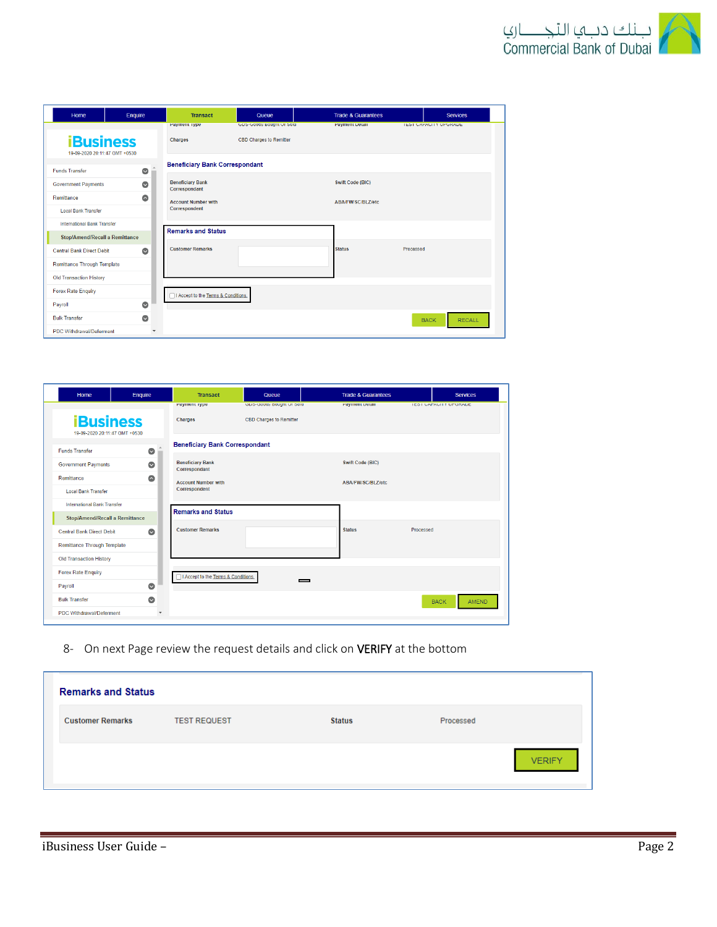

| Home                                              | Enquire   | <b>Transact</b>                          | Queue                          | <b>Trade &amp; Guarantees</b> |           | <b>Services</b>              |  |
|---------------------------------------------------|-----------|------------------------------------------|--------------------------------|-------------------------------|-----------|------------------------------|--|
|                                                   |           | Payment Type                             | GDS-G000S Bought Of Sold       | Payment Detail                |           | <b>IEST CAPACITY UPGRADE</b> |  |
| <b>iBusiness</b><br>19-09-2020 20:11:47 GMT +0530 |           | <b>Charges</b>                           | <b>CBD Charges to Remitter</b> |                               |           |                              |  |
| $\bullet$<br><b>Funds Transfer</b>                |           | <b>Beneficiary Bank Correspondant</b>    |                                |                               |           |                              |  |
| <b>Government Payments</b>                        | $\bullet$ | <b>Beneficiary Bank</b><br>Correspondant |                                | <b>Swift Code (BIC)</b>       |           |                              |  |
| Remittance                                        | $\bullet$ | <b>Account Number with</b>               |                                | ABA/FW/SC/BLZ/etc             |           |                              |  |
| <b>Local Bank Transfer</b>                        |           | Correspondent                            |                                |                               |           |                              |  |
| <b>International Bank Transfer</b>                |           | <b>Remarks and Status</b>                |                                |                               |           |                              |  |
| Stop/Amend/Recall a Remittance                    |           |                                          |                                |                               |           |                              |  |
| <b>Central Bank Direct Debit</b>                  | $\bullet$ | <b>Customer Remarks</b>                  |                                | <b>Status</b>                 | Processed |                              |  |
| <b>Remittance Through Template</b>                |           |                                          |                                |                               |           |                              |  |
| <b>Old Transaction History</b>                    |           |                                          |                                |                               |           |                              |  |
| <b>Forex Rate Enquiry</b>                         |           | I Accept to the Terms & Conditions.      |                                |                               |           |                              |  |
| Payroll                                           | $\bullet$ |                                          |                                |                               |           |                              |  |
| <b>Bulk Transfer</b>                              | $\bullet$ |                                          |                                |                               |           | <b>RECALL</b><br><b>BACK</b> |  |
| <b>PDC Withdrawal/Deferment</b>                   |           |                                          |                                |                               |           |                              |  |

| Home                                              | Enquire                  | <b>Transact</b>                          | Queue                          | <b>Trade &amp; Guarantees</b> | <b>Services</b>               |
|---------------------------------------------------|--------------------------|------------------------------------------|--------------------------------|-------------------------------|-------------------------------|
|                                                   |                          | Payment type                             | GDS-G000S B0000 OF S010        | Payment Detail                | <b>IEST CAPACITY UP GRADE</b> |
| <b>iBusiness</b><br>19-09-2020 20:11:47 GMT +0530 |                          | Charges                                  | <b>CBD Charges to Remitter</b> |                               |                               |
| <b>Funds Transfer</b>                             | $\bullet$                | <b>Beneficiary Bank Correspondant</b>    |                                |                               |                               |
| <b>Government Payments</b>                        | $\bullet$                | <b>Beneficiary Bank</b><br>Correspondant |                                | <b>Swift Code (BIC)</b>       |                               |
| Remittance                                        | $\bullet$                | <b>Account Number with</b>               |                                | ABA/FW/SC/BLZ/etc             |                               |
| <b>Local Bank Transfer</b>                        |                          | Correspondent                            |                                |                               |                               |
| <b>International Bank Transfer</b>                |                          | <b>Remarks and Status</b>                |                                |                               |                               |
| Stop/Amend/Recall a Remittance                    |                          |                                          |                                |                               |                               |
| <b>Central Bank Direct Debit</b>                  | $\bullet$                | <b>Customer Remarks</b>                  |                                | <b>Status</b>                 | Processed                     |
| <b>Remittance Through Template</b>                |                          |                                          |                                |                               |                               |
| <b>Old Transaction History</b>                    |                          |                                          |                                |                               |                               |
| <b>Forex Rate Enquiry</b>                         |                          | □ I Accept to the Terms & Conditions.    |                                |                               |                               |
| Payroll                                           | $\bullet$                |                                          | _                              |                               |                               |
| <b>Bulk Transfer</b>                              | $\bullet$                |                                          |                                |                               | <b>AMEND</b><br><b>BACK</b>   |
| <b>PDC Withdrawal/Deferment</b>                   | $\overline{\phantom{a}}$ |                                          |                                |                               |                               |

8- On next Page review the request details and click on VERIFY at the bottom

| <b>Remarks and Status</b> |                     |               |           |               |
|---------------------------|---------------------|---------------|-----------|---------------|
| <b>Customer Remarks</b>   | <b>TEST REQUEST</b> | <b>Status</b> | Processed |               |
|                           |                     |               |           | <b>VERIFY</b> |